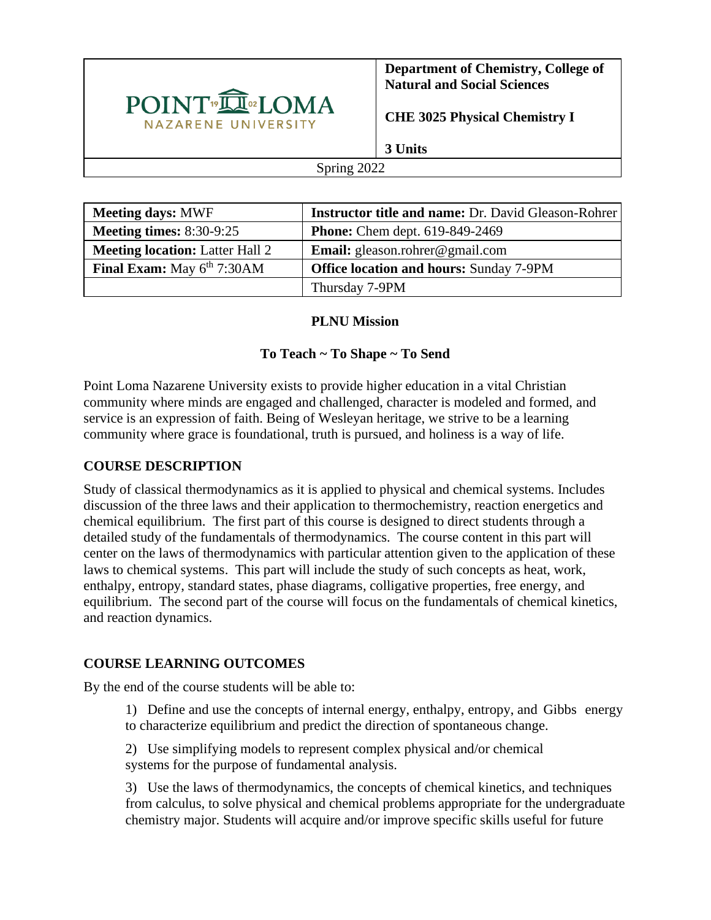

**Department of Chemistry, College of Natural and Social Sciences**

**CHE 3025 Physical Chemistry I**

**3 Units**

#### Spring 2022

| <b>Meeting days: MWF</b>               | <b>Instructor title and name: Dr. David Gleason-Rohrer</b> |
|----------------------------------------|------------------------------------------------------------|
| <b>Meeting times:</b> $8:30-9:25$      | <b>Phone:</b> Chem dept. 619-849-2469                      |
| <b>Meeting location:</b> Latter Hall 2 | <b>Email:</b> gleason.rohrer@gmail.com                     |
| Final Exam: May 6th 7:30AM             | <b>Office location and hours: Sunday 7-9PM</b>             |
|                                        | Thursday 7-9PM                                             |

### **PLNU Mission**

## **To Teach ~ To Shape ~ To Send**

Point Loma Nazarene University exists to provide higher education in a vital Christian community where minds are engaged and challenged, character is modeled and formed, and service is an expression of faith. Being of Wesleyan heritage, we strive to be a learning community where grace is foundational, truth is pursued, and holiness is a way of life.

## **COURSE DESCRIPTION**

Study of classical thermodynamics as it is applied to physical and chemical systems. Includes discussion of the three laws and their application to thermochemistry, reaction energetics and chemical equilibrium. The first part of this course is designed to direct students through a detailed study of the fundamentals of thermodynamics. The course content in this part will center on the laws of thermodynamics with particular attention given to the application of these laws to chemical systems. This part will include the study of such concepts as heat, work, enthalpy, entropy, standard states, phase diagrams, colligative properties, free energy, and equilibrium. The second part of the course will focus on the fundamentals of chemical kinetics, and reaction dynamics.

## **COURSE LEARNING OUTCOMES**

By the end of the course students will be able to:

1) Define and use the concepts of internal energy, enthalpy, entropy, and Gibbs energy to characterize equilibrium and predict the direction of spontaneous change.

2) Use simplifying models to represent complex physical and/or chemical systems for the purpose of fundamental analysis.

3) Use the laws of thermodynamics, the concepts of chemical kinetics, and techniques from calculus, to solve physical and chemical problems appropriate for the undergraduate chemistry major. Students will acquire and/or improve specific skills useful for future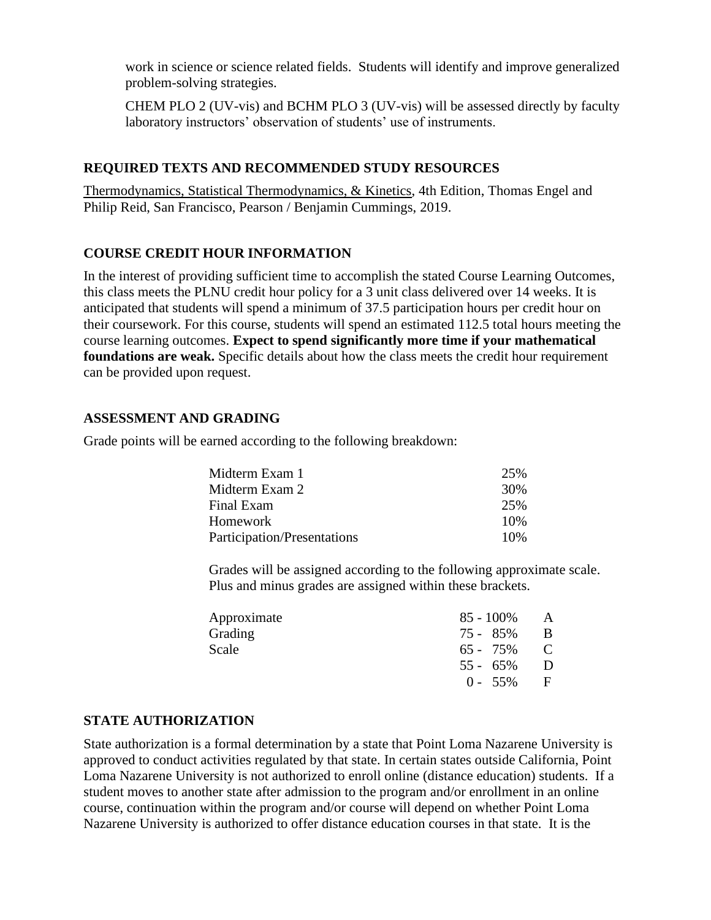work in science or science related fields. Students will identify and improve generalized problem-solving strategies.

CHEM PLO 2 (UV-vis) and BCHM PLO 3 (UV-vis) will be assessed directly by faculty laboratory instructors' observation of students' use of instruments.

### **REQUIRED TEXTS AND RECOMMENDED STUDY RESOURCES**

Thermodynamics, Statistical Thermodynamics, & Kinetics, 4th Edition, Thomas Engel and Philip Reid, San Francisco, Pearson / Benjamin Cummings, 2019.

### **COURSE CREDIT HOUR INFORMATION**

In the interest of providing sufficient time to accomplish the stated Course Learning Outcomes, this class meets the PLNU credit hour policy for a 3 unit class delivered over 14 weeks. It is anticipated that students will spend a minimum of 37.5 participation hours per credit hour on their coursework. For this course, students will spend an estimated 112.5 total hours meeting the course learning outcomes. **Expect to spend significantly more time if your mathematical foundations are weak.** Specific details about how the class meets the credit hour requirement can be provided upon request.

### **ASSESSMENT AND GRADING**

Grade points will be earned according to the following breakdown:

| Midterm Exam 1              | 25%  |
|-----------------------------|------|
| Midterm Exam 2              | 30%  |
| Final Exam                  | 25%  |
| Homework                    | 10%  |
| Participation/Presentations | 10\% |

Grades will be assigned according to the following approximate scale. Plus and minus grades are assigned within these brackets.

| $85 - 100\%$ | A |
|--------------|---|
| 75 - 85%     | B |
| 65 - 75%     | C |
| $55 - 65\%$  | D |
| $0 - 55\%$   | F |
|              |   |

## **STATE AUTHORIZATION**

State authorization is a formal determination by a state that Point Loma Nazarene University is approved to conduct activities regulated by that state. In certain states outside California, Point Loma Nazarene University is not authorized to enroll online (distance education) students. If a student moves to another state after admission to the program and/or enrollment in an online course, continuation within the program and/or course will depend on whether Point Loma Nazarene University is authorized to offer distance education courses in that state. It is the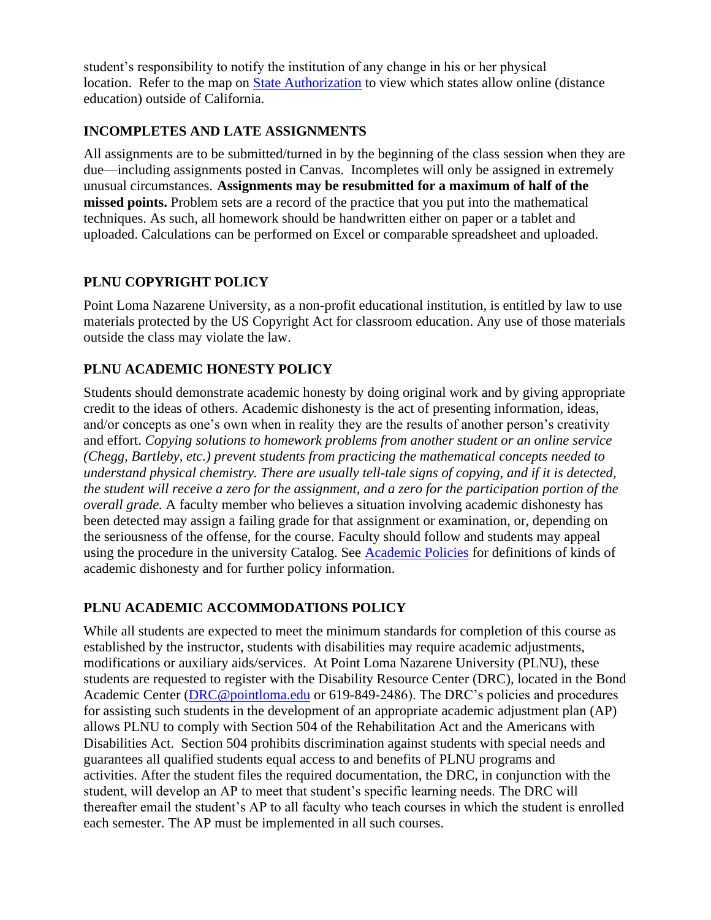student's responsibility to notify the institution of any change in his or her physical location. Refer to the map on [State Authorization](https://www.pointloma.edu/offices/office-institutional-effectiveness-research/disclosures) to view which states allow online (distance education) outside of California.

# **INCOMPLETES AND LATE ASSIGNMENTS**

All assignments are to be submitted/turned in by the beginning of the class session when they are due—including assignments posted in Canvas. Incompletes will only be assigned in extremely unusual circumstances. **Assignments may be resubmitted for a maximum of half of the missed points.** Problem sets are a record of the practice that you put into the mathematical techniques. As such, all homework should be handwritten either on paper or a tablet and uploaded. Calculations can be performed on Excel or comparable spreadsheet and uploaded.

# **PLNU COPYRIGHT POLICY**

Point Loma Nazarene University, as a non-profit educational institution, is entitled by law to use materials protected by the US Copyright Act for classroom education. Any use of those materials outside the class may violate the law.

## **PLNU ACADEMIC HONESTY POLICY**

Students should demonstrate academic honesty by doing original work and by giving appropriate credit to the ideas of others. Academic dishonesty is the act of presenting information, ideas, and/or concepts as one's own when in reality they are the results of another person's creativity and effort. *Copying solutions to homework problems from another student or an online service (Chegg, Bartleby, etc.) prevent students from practicing the mathematical concepts needed to understand physical chemistry. There are usually tell-tale signs of copying, and if it is detected, the student will receive a zero for the assignment, and a zero for the participation portion of the overall grade.* A faculty member who believes a situation involving academic dishonesty has been detected may assign a failing grade for that assignment or examination, or, depending on the seriousness of the offense, for the course. Faculty should follow and students may appeal using the procedure in the university Catalog. See [Academic Policies](https://catalog.pointloma.edu/content.php?catoid=41&navoid=2435#Academic_Honesty) for definitions of kinds of academic dishonesty and for further policy information.

# **PLNU ACADEMIC ACCOMMODATIONS POLICY**

While all students are expected to meet the minimum standards for completion of this course as established by the instructor, students with disabilities may require academic adjustments, modifications or auxiliary aids/services. At Point Loma Nazarene University (PLNU), these students are requested to register with the Disability Resource Center (DRC), located in the Bond Academic Center [\(DRC@pointloma.edu](mailto:DRC@pointloma.edu) or 619-849-2486). The DRC's policies and procedures for assisting such students in the development of an appropriate academic adjustment plan (AP) allows PLNU to comply with Section 504 of the Rehabilitation Act and the Americans with Disabilities Act. Section 504 prohibits discrimination against students with special needs and guarantees all qualified students equal access to and benefits of PLNU programs and activities. After the student files the required documentation, the DRC, in conjunction with the student, will develop an AP to meet that student's specific learning needs. The DRC will thereafter email the student's AP to all faculty who teach courses in which the student is enrolled each semester. The AP must be implemented in all such courses.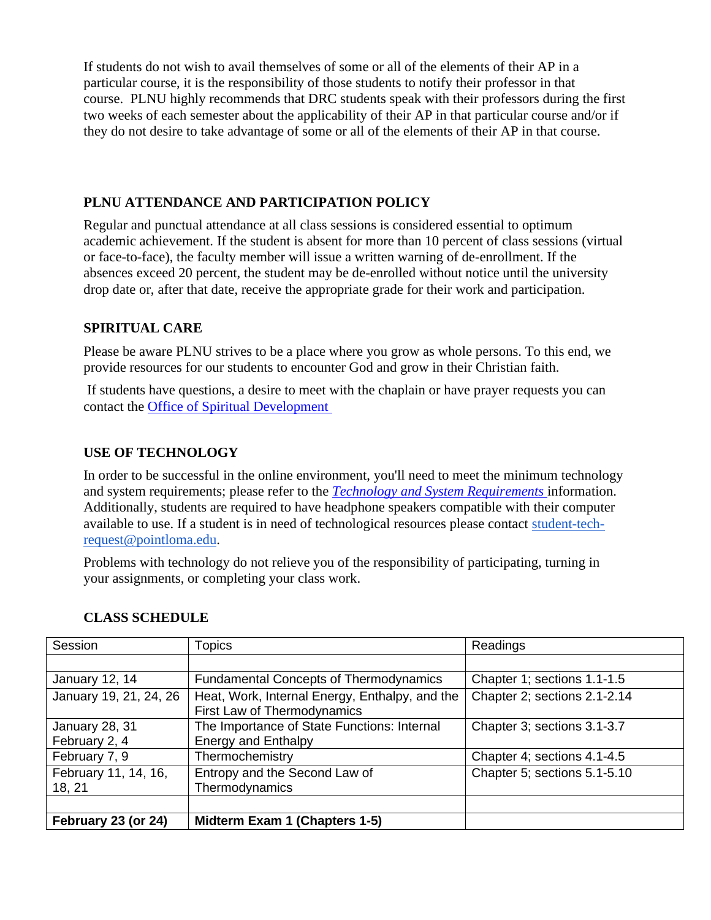If students do not wish to avail themselves of some or all of the elements of their AP in a particular course, it is the responsibility of those students to notify their professor in that course. PLNU highly recommends that DRC students speak with their professors during the first two weeks of each semester about the applicability of their AP in that particular course and/or if they do not desire to take advantage of some or all of the elements of their AP in that course.

## **PLNU ATTENDANCE AND PARTICIPATION POLICY**

Regular and punctual attendance at all class sessions is considered essential to optimum academic achievement. If the student is absent for more than 10 percent of class sessions (virtual or face-to-face), the faculty member will issue a written warning of de-enrollment. If the absences exceed 20 percent, the student may be de-enrolled without notice until the university drop date or, after that date, receive the appropriate grade for their work and participation.

## **SPIRITUAL CARE**

Please be aware PLNU strives to be a place where you grow as whole persons. To this end, we provide resources for our students to encounter God and grow in their Christian faith.

If students have questions, a desire to meet with the chaplain or have prayer requests you can contact the [Office of Spiritual Development](https://www.pointloma.edu/offices/spiritual-development)

## **USE OF TECHNOLOGY**

In order to be successful in the online environment, you'll need to meet the minimum technology and system requirements; please refer to the *[Technology and System Requirements](https://help.pointloma.edu/TDClient/1808/Portal/KB/ArticleDet?ID=108349)* information. Additionally, students are required to have headphone speakers compatible with their computer available to use. If a student is in need of technological resources please contact [student-tech](mailto:student-tech-request@pointloma.edu)[request@pointloma.edu.](mailto:student-tech-request@pointloma.edu)

Problems with technology do not relieve you of the responsibility of participating, turning in your assignments, or completing your class work.

| Session                | Topics                                                                        | Readings                     |
|------------------------|-------------------------------------------------------------------------------|------------------------------|
|                        |                                                                               |                              |
| January 12, 14         | <b>Fundamental Concepts of Thermodynamics</b>                                 | Chapter 1; sections 1.1-1.5  |
| January 19, 21, 24, 26 | Heat, Work, Internal Energy, Enthalpy, and the<br>First Law of Thermodynamics | Chapter 2; sections 2.1-2.14 |
| January 28, 31         | The Importance of State Functions: Internal                                   | Chapter 3; sections 3.1-3.7  |
| February 2, 4          | <b>Energy and Enthalpy</b>                                                    |                              |
| February 7, 9          | Thermochemistry                                                               | Chapter 4; sections 4.1-4.5  |
| February 11, 14, 16,   | Entropy and the Second Law of                                                 | Chapter 5; sections 5.1-5.10 |
| 18, 21                 | Thermodynamics                                                                |                              |
|                        |                                                                               |                              |
| February 23 (or 24)    | Midterm Exam 1 (Chapters 1-5)                                                 |                              |

## **CLASS SCHEDULE**